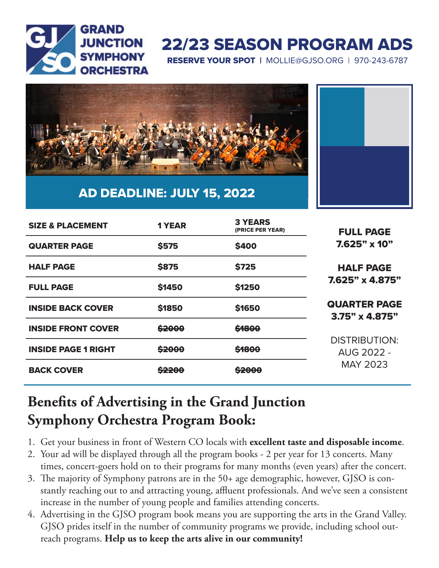

# 22/23 SEASON PROGRAM ADS

RESERVE YOUR SPOT | MOLLIE@GJSO.ORG | 970-243-6787



### AD DEADLINE: JULY 15, 2022

| <b>SIZE &amp; PLACEMENT</b> | <b>1 YEAR</b>     | <b>3 YEARS</b><br>(PRICE PER YEAR) | <b>FULL PAGE</b><br>$7.625"$ x 10"<br><b>HALF PAGE</b><br>$7.625" \times 4.875"$ |
|-----------------------------|-------------------|------------------------------------|----------------------------------------------------------------------------------|
| <b>QUARTER PAGE</b>         | <b>\$575</b>      | <b>\$400</b>                       |                                                                                  |
| <b>HALF PAGE</b>            | <b>\$875</b>      | <b>\$725</b>                       |                                                                                  |
| <b>FULL PAGE</b>            | <b>\$1450</b>     | \$1250                             |                                                                                  |
| <b>INSIDE BACK COVER</b>    | <b>\$1850</b>     | \$1650                             | <b>QUARTER PAGE</b><br>$3.75" \times 4.875"$                                     |
| <b>INSIDE FRONT COVER</b>   | \$2000            | \$1800                             | <b>DISTRIBUTION:</b><br><b>AUG 2022 -</b><br><b>MAY 2023</b>                     |
| <b>INSIDE PAGE 1 RIGHT</b>  | <del>\$2000</del> | \$1800                             |                                                                                  |
| <b>BACK COVER</b>           | <del>\$2200</del> | <del>\$2000</del>                  |                                                                                  |

## **Benefits of Advertising in the Grand Junction Symphony Orchestra Program Book:**

- 1. Get your business in front of Western CO locals with **excellent taste and disposable income**.
- 2. Your ad will be displayed through all the program books 2 per year for 13 concerts. Many times, concert-goers hold on to their programs for many months (even years) after the concert.
- 3. The majority of Symphony patrons are in the 50+ age demographic, however, GJSO is constantly reaching out to and attracting young, affluent professionals. And we've seen a consistent increase in the number of young people and families attending concerts.
- 4. Advertising in the GJSO program book means you are supporting the arts in the Grand Valley. GJSO prides itself in the number of community programs we provide, including school outreach programs. **Help us to keep the arts alive in our community!**